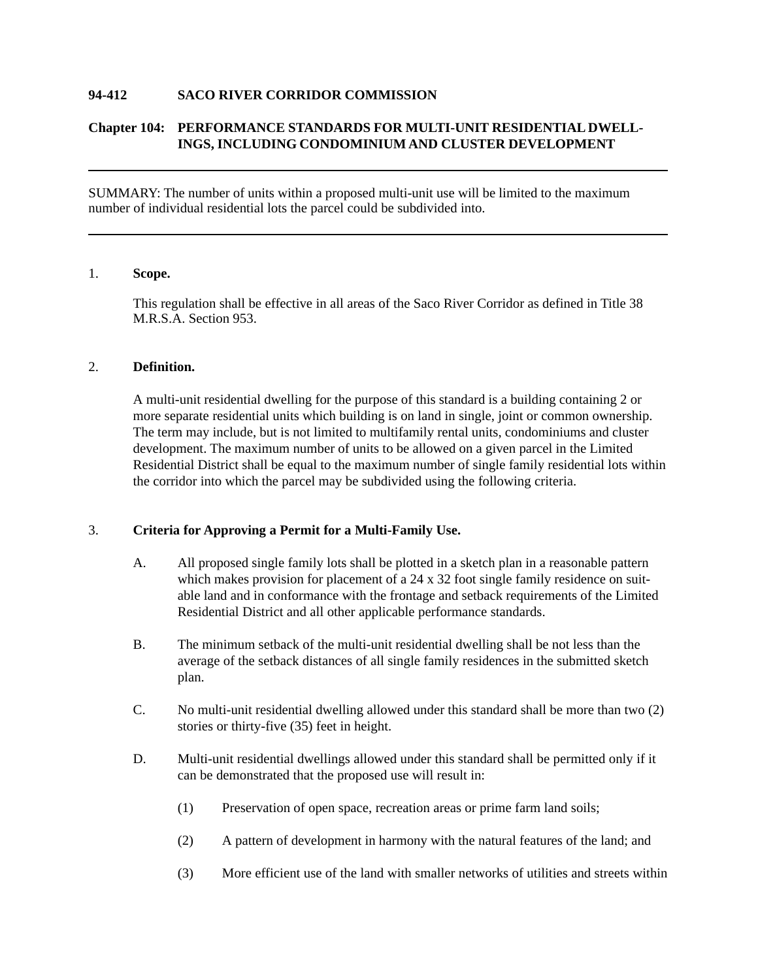## **94-412 SACO RIVER CORRIDOR COMMISSION**

# **Chapter 104: PERFORMANCE STANDARDS FOR MULTI-UNIT RESIDENTIAL DWELL-INGS, INCLUDING CONDOMINIUM AND CLUSTER DEVELOPMENT**

SUMMARY: The number of units within a proposed multi-unit use will be limited to the maximum number of individual residential lots the parcel could be subdivided into.

## 1. **Scope.**

This regulation shall be effective in all areas of the Saco River Corridor as defined in Title 38 M.R.S.A. Section 953.

#### 2. **Definition.**

A multi-unit residential dwelling for the purpose of this standard is a building containing 2 or more separate residential units which building is on land in single, joint or common ownership. The term may include, but is not limited to multifamily rental units, condominiums and cluster development. The maximum number of units to be allowed on a given parcel in the Limited Residential District shall be equal to the maximum number of single family residential lots within the corridor into which the parcel may be subdivided using the following criteria.

## 3. **Criteria for Approving a Permit for a Multi-Family Use.**

- A. All proposed single family lots shall be plotted in a sketch plan in a reasonable pattern which makes provision for placement of a 24 x 32 foot single family residence on suitable land and in conformance with the frontage and setback requirements of the Limited Residential District and all other applicable performance standards.
- B. The minimum setback of the multi-unit residential dwelling shall be not less than the average of the setback distances of all single family residences in the submitted sketch plan.
- C. No multi-unit residential dwelling allowed under this standard shall be more than two (2) stories or thirty-five (35) feet in height.
- D. Multi-unit residential dwellings allowed under this standard shall be permitted only if it can be demonstrated that the proposed use will result in:
	- (1) Preservation of open space, recreation areas or prime farm land soils;
	- (2) A pattern of development in harmony with the natural features of the land; and
	- (3) More efficient use of the land with smaller networks of utilities and streets within